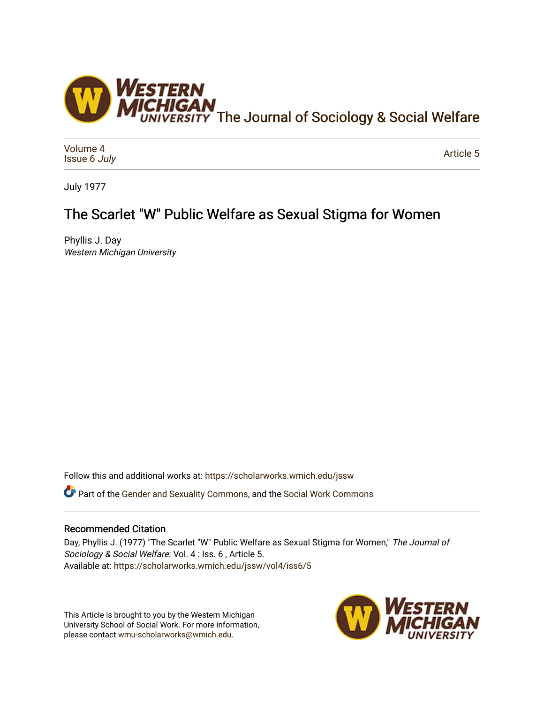

[Volume 4](https://scholarworks.wmich.edu/jssw/vol4) [Issue 6](https://scholarworks.wmich.edu/jssw/vol4/iss6) July

[Article 5](https://scholarworks.wmich.edu/jssw/vol4/iss6/5) 

July 1977

# The Scarlet "W" Public Welfare as Sexual Stigma for Women

Phyllis J. Day Western Michigan University

Follow this and additional works at: [https://scholarworks.wmich.edu/jssw](https://scholarworks.wmich.edu/jssw?utm_source=scholarworks.wmich.edu%2Fjssw%2Fvol4%2Fiss6%2F5&utm_medium=PDF&utm_campaign=PDFCoverPages) 

Part of the [Gender and Sexuality Commons](http://network.bepress.com/hgg/discipline/420?utm_source=scholarworks.wmich.edu%2Fjssw%2Fvol4%2Fiss6%2F5&utm_medium=PDF&utm_campaign=PDFCoverPages), and the [Social Work Commons](http://network.bepress.com/hgg/discipline/713?utm_source=scholarworks.wmich.edu%2Fjssw%2Fvol4%2Fiss6%2F5&utm_medium=PDF&utm_campaign=PDFCoverPages)

## Recommended Citation

Day, Phyllis J. (1977) "The Scarlet "W" Public Welfare as Sexual Stigma for Women," The Journal of Sociology & Social Welfare: Vol. 4 : Iss. 6 , Article 5. Available at: [https://scholarworks.wmich.edu/jssw/vol4/iss6/5](https://scholarworks.wmich.edu/jssw/vol4/iss6/5?utm_source=scholarworks.wmich.edu%2Fjssw%2Fvol4%2Fiss6%2F5&utm_medium=PDF&utm_campaign=PDFCoverPages) 

This Article is brought to you by the Western Michigan University School of Social Work. For more information, please contact [wmu-scholarworks@wmich.edu.](mailto:wmu-scholarworks@wmich.edu)

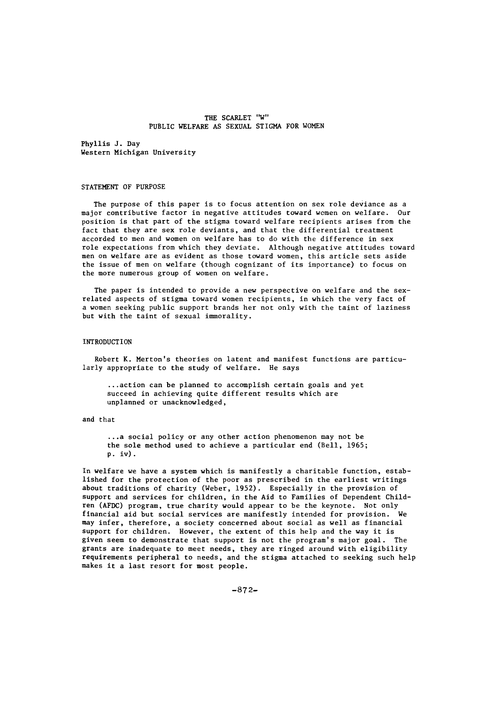## THE SCARLET "W" PUBLIC WELFARE AS SEXUAL STIGMA FOR WOMEN

Phyllis **J.** Day Western Michigan University

## STATEMENT OF PURPOSE

The purpose of this paper is to focus attention on sex role deviance as a major contributive factor in negative attitudes toward women on welfare. Our position is that part of the stigma toward welfare recipients arises from the fact that they are sex role deviants, and that the differential treatment accorded to men and women on welfare has to do with the difference in sex role expectations from which they deviate. Although negative attitudes toward men on welfare are as evident as those toward women, this article sets aside the issue of men on welfare (though cognizant of its importance) to focus on the more numerous group of women on welfare.

The paper is intended to provide a new perspective on welfare and the sexrelated aspects of stigma toward women recipients, in which the very fact of a women seeking public support brands her not only with the taint of laziness but with the taint of sexual immorality.

#### INTRODUCTION

Robert K. Merton's theories on latent and manifest functions are particularly appropriate to the study of welfare. He says

... action can be planned to accomplish certain goals and yet succeed in achieving quite different results which are unplanned or unacknowledged,

## and that

..a social policy or any other action phenomenon may not be the sole method used to achieve a particular end (Bell, 1965; p. iv).

In welfare we have a system which is manifestly a charitable function, established for the protection of the poor as prescribed in the earliest writings about traditions of charity (Weber, 1952). Especially in the provision of support and services for children, in the Aid to Families of Dependent Children (AFDC) program, true charity would appear to be the keynote. Not only financial aid but social services are manifestly intended for provision. We may infer, therefore, a society concerned about social as well as financial support for children. However, the extent of this help and the way it is given seem to demonstrate that support is not the program's major goal. The grants are inadequate to meet needs, they are ringed around with eligibility requirements peripheral to needs, and the stigma attached to seeking such help makes it a last resort for most people.

-872-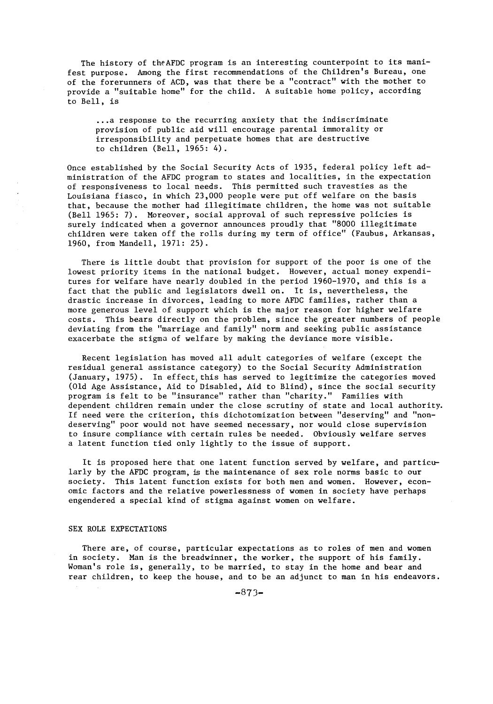The history of theAFDC program is an interesting counterpoint to its manifest purpose. Among the first recommendations of the Children's Bureau, one of the forerunners of ACD, was that there be a "contract" with the mother to provide a "suitable home" for the child. A suitable home policy, according to Bell, is

... a response to the recurring anxiety that the indiscriminate provision of public aid will encourage parental immorality or irresponsibility and perpetuate homes that are destructive to children (Bell, 1965: 4).

Once established by the Social Security Acts of 1935, federal policy left administration of the AFDC program to states and localities, in the expectation of responsiveness to local needs. This permitted such travesties as the Louisiana fiasco, in which 23,000 people were put off welfare on the basis that, because the mother had illegitimate children, the home was not suitable (Bell 1965: 7). Moreover, social approval of such repressive policies is surely indicated when a governor announces proudly that "8000 illegitimate children were taken off the rolls during my term of office" (Faubus, Arkansas, 1960, from Mandell, 1971: 25).

There is little doubt that provision for support of the poor is one of the lowest priority items in the national budget. However, actual money expenditures for welfare have nearly doubled in the period 1960-1970, and this is a fact that the public and legislators dwell on. It is, nevertheless, the drastic increase in divorces, leading to more AFDC families, rather than a more generous level of support which is the major reason for higher welfare costs. This bears directly on the problem, since the greater numbers of people deviating from the "marriage and family" norm and seeking public assistance exacerbate the stigma of welfare by making the deviance more visible.

Recent legislation has moved all adult categories of welfare (except the residual general assistance category) to the Social Security Administration (January, 1975). In effect, this has served to legitimize the categories moved (Old Age Assistance, Aid to Disabled, Aid to Blind), since the social security program is felt to be "insurance" rather than "charity." Families with dependent children remain under the close scrutiny of state and local authority. If need were the criterion, this dichotomization between "deserving" and "nondeserving" poor would not have seemed necessary, nor would close supervision to insure compliance with certain rules be needed. Obviously welfare serves a latent function tied only lightly to the issue of support.

It is proposed here that one latent function served by welfare, and particularly by the AFDC program, is the maintenance of sex role norms basic to our society. This latent function exists for both men and women. However, economic factors and the relative powerlessness of women in society have perhaps engendered a special kind of stigma against women on welfare.

## SEX ROLE EXPECTATIONS

There are, of course, particular expectations as to roles of men and women in society. Man is the breadwinner, the worker, the support of his family. Woman's role is, generally, to be married, to stay in the home and bear and rear children, to keep the house, and to be an adjunct to man in his endeavors.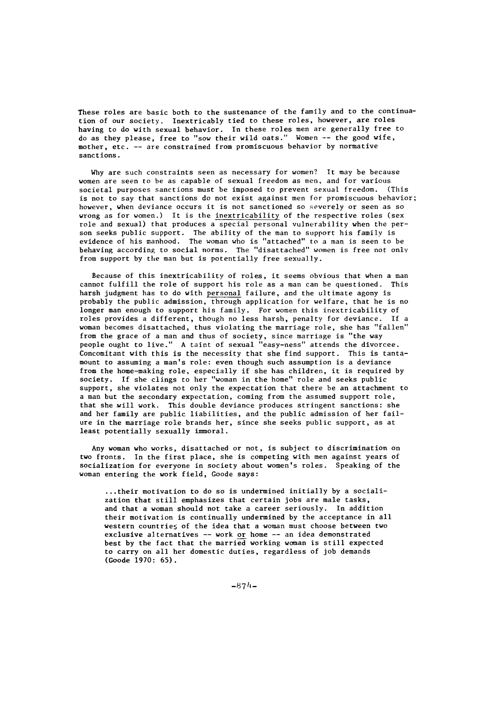These roles are basic both to the sustenance of the family and to the continuation of our society. Inextricably tied to these roles, however, are roles having to do with sexual behavior. In these roles men are generally free to do as they please, free to "sow their wild oats." Women -- the good wife, mother, etc. -- are constrained from promiscuous behavior by normative sanctions.

Why are such constraints seen as necessary for women? It may be because women are seen to be as capable of sexual freedom as men, and for various societal purposes sanctions must be imposed to prevent sexual freedom. (This is not to say that sanctions do not exist against men for promiscuous behavior; however, when deviance occurs it is not sanctioned so severely or seen as so wrong as for women.) It is the inextricability of the respective roles (sex role and sexual) that produces a special personal vulnerability when the person seeks public support. The ability of the man to support his family is evidence of his manhood. The woman who is "attached" to a man is seen to be behaving according to social norms. The "disattached" women is free not only from support by the man but is potentially free sexually.

Because of this inextricability of roles, it seems obvious that when a man cannot fulfill the role of support his role as a man can be questioned. This harsh judgment has to do with personal failure, and the ultimate agony is probably the public admission, through application for welfare, that he is no longer man enough to support his family. For women this inextricability of roles provides a different, though no less harsh, penalty for deviance. If a woman becomes disattached, thus violating the marriage role, she has "fallen" from the grace of a man and thus of society, since marriage is "the way people ought to live." A taint of sexual "easy-ness" attends the divorcee. Concomitant with this is the necessity that she find support. This is tantamount to assuming a man's role: even though such assumption is a deviance from the home-making role, especially if she has children, it is required by society. If she clings to her "woman in the home" role and seeks public support, she violates not only the expectation that there be an attachment to a man but the secondary expectation, coming from the assumed support role, that she will work. This double deviance produces stringent sanctions: she and her family are public liabilities, and the public admission of her failure in the marriage role brands her, since she seeks public support, as at least potentially sexually immoral.

Any woman who works, disattached or not, is subject to discrimination on two fronts. In the first place, she is competing with men against years of socialization for everyone in society about women's roles. Speaking of the woman entering the work field, Goode says:

...their motivation to do so is undermined initially by a socialization that still emphasizes that certain jobs are male tasks, and that a woman should not take a career seriously. In addition their motivation is continually undermined by the acceptance in all western countries of the idea that a woman must choose between two exclusive alternatives -- work or home -- an idea demonstrated best by the fact that the married working woman is still expected to carry on all her domestic duties, regardless of job demands (Goode 1970: 65).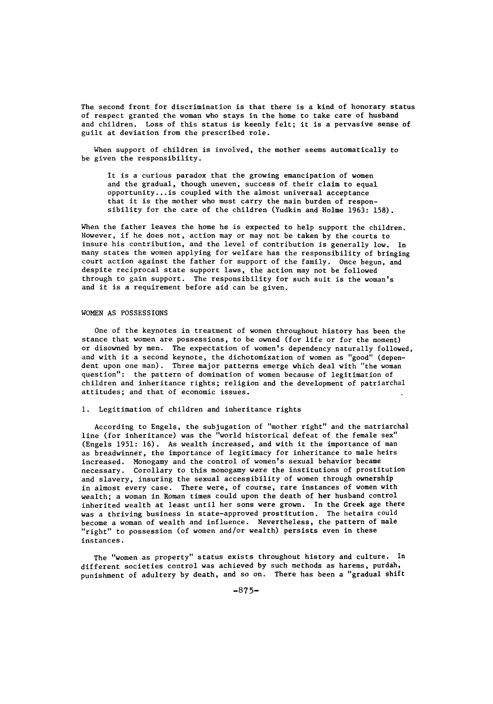The second front for discrimination is that there is a kind of honorary status of respect granted the woman who stays in the home to take care of husband and children. Loss of this status is keenly felt; it is a pervasive sense of guilt at deviation from the prescribed role.

When support of children is involved, the mother seems automatically to be given the responsibility.

It is a curious paradox that the growing emancipation of women and the gradual, though uneven, success of their claim to equal opportunity.. .is coupled with the almost universal acceptance that it is the mother who must carry the main burden of responsibility for the care of the children (Yudkin and Holme 1963: 158).

When the father leaves the home he is expected to help support the children. However, if he does not, action may or may not be taken by the courts to insure his contribution, and the level of contribution is generally low. In many states the women applying for welfare has the responsibility of bringing court action against the father for support of the family. Once begun, and despite reciprocal state support laws, the action may not be followed through to gain support. The responsibility for such suit is the woman's and it is a requirement before aid can be given.

## WOMEN AS POSSESSIONS

One of the keynotes in treatment of women throughout history has been the stance that women are possessions, to be owned (for life or for the moment) or disowned by men. The expectation of women's dependency naturally followed, and with it a second keynote, the dichotomization of women as "good" (dependent upon one man). Three major patterns emerge which deal with "the woman question": the pattern of domination of women because of legitimation of children and inheritance rights; religion and the development of patriarchal attitudes; and that of economic issues.

## **1.** Legitimation of children and inheritance rights

According to Engels, the subjugation of "mother right" and the matriarchal line (for inheritance) was the "world historical defeat of the female sex" (Engels 1951: 16). As wealth increased, and with it the importance of man as breadwinner, the importance of legitimacy for inheritance to male heirs increased. Monogamy and the control of women's sexual behavior became necessary. Corollary to this monogamy were the institutions of prostitution and slavery, insuring the sexual accessibility of women through ownership in almost every case. There were, of course, rare instances of women with wealth; a woman in Roman times could upon the death of her husband control inherited wealth at least until her sons were grown. In the Greek age there was a thriving business in state-approved prostitution. The hetaira could become a woman of wealth and influence. Nevertheless, the pattern of male "right" to possession (of women and/or wealth) persists even in these instances.

The "women as property" status exists throughout history and culture. In different societies control was achieved by such methods as harems, purdah, punishment of adultery by death, and so on. There has been a "gradual shift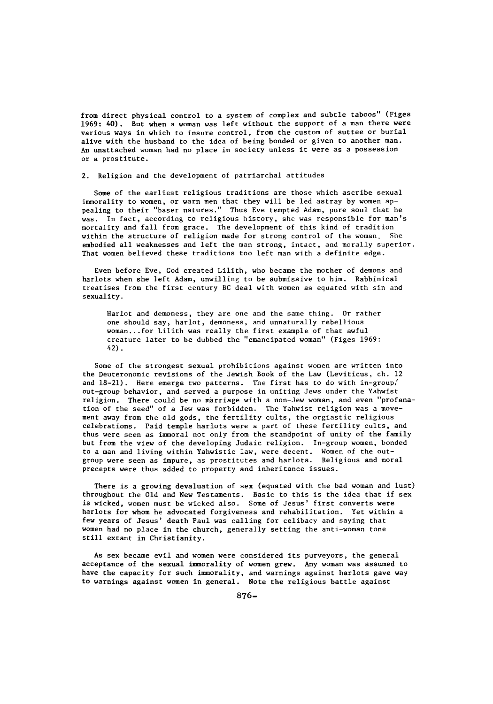from direct physical control to a system of complex and subtle taboos" (Figes 1969: 40). But when a woman was left without the support of a man there were various ways in which to insure control, from the custom of suttee or burial alive with the husband to the idea of being bonded or given to another man. An unattached woman had no place in society unless it were as a possession or a prostitute.

#### 2. Religion and the development of patriarchal attitudes

Some of the earliest religious traditions are those which ascribe sexual immorality to women, or warn men that they will be led astray by women appealing to their "baser natures." Thus Eve tempted Adam, pure soul that he was. In fact, according to religious history, she was responsible for man's mortality and fall from grace. The development of this kind of tradition within the structure of religion made for strong control of the woman. She embodied all weaknesses and left the man strong, intact, and morally superior. That women believed these traditions too left man with a definite edge.

Even before Eve, God created Lilith, who became the mother of demons and harlots when she left Adam, unwilling to be submissive to him. Rabbinical treatises from the first century BC deal with women as equated with sin and sexuality.

Harlot and demoness, they are one and the same thing. Or rather one should say, harlot, demoness, and unnaturally rebellious woman.. .for Lilith was really the first example of that awful creature later to be dubbed the "emancipated woman" (Figes 1969: 42).

Some of the strongest sexual prohibitions against women are written into the Deuteronomic revisions of the Jewish Book of the Law (Leviticus, ch. 12 and  $18-21$ ). Here emerge two patterns. The first has to do with in-group/ out-group behavior, and served a purpose in uniting Jews under the Yahwist religion. There could be no marriage with a non-Jew woman, and even "profanation of the seed" of a Jew was forbidden. The Yahwist religion was a movement away from the old gods, the fertility cults, the orgiastic religious celebrations. Paid temple harlots were a part of these fertility cults, and thus were seen as immoral not only from the standpoint of unity of the family but from the view of the developing Judaic religion. In-group women, bonded to a man and living within Yahwistic law, were decent. Women of the outgroup were seen as impure, as prostitutes and harlots. Religious and moral precepts were thus added to property and inheritance issues.

There is a growing devaluation of sex (equated with the bad woman and lust) throughout the Old and New Testaments. Basic to this is the idea that if sex is wicked, women must be wicked also. Some of Jesus' first converts were harlots for whom he advocated forgiveness and rehabilitation. Yet within a few years of Jesus' death Paul was calling for celibacy and saying that women had no place in the church, generally setting the anti-woman tone still extant in Christianity.

As sex became evil and women were considered its purveyors, the general acceptance of the sexual immorality of women grew. Any woman was assumed to have the capacity for such immorality, and warnings against harlots gave way to warnings against women in general. Note the religious battle against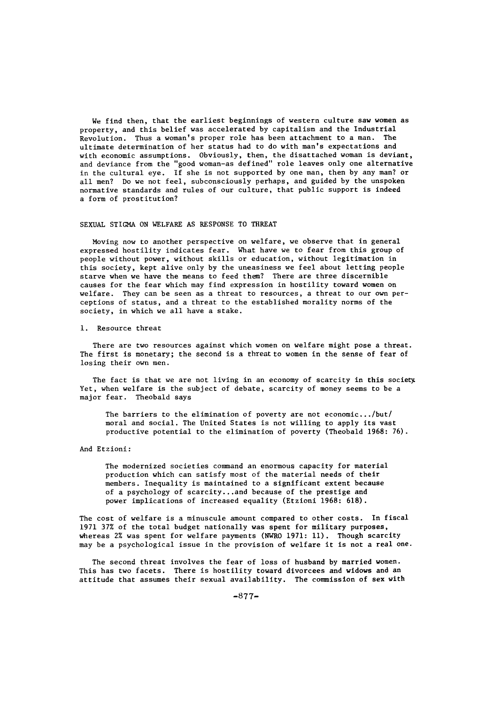We find then, that the earliest beginnings of western culture saw women as property, and this belief was accelerated by capitalism and the Industrial Revolution. Thus a woman's proper role has been attachment to a man. The ultimate determination of her status had to do with man's expectations and with economic assumptions. Obviously, then, the disattached woman is deviant, and deviance from the "good woman-as defined" role leaves only one alternative in the cultural eye. If she is not supported by one man, then by any man? or all men? Do we not feel, subconsciously perhaps, and guided by the unspoken normative standards and rules of our culture, that public support is indeed a form of prostitution?

## SEXUAL STIGMA ON WELFARE AS RESPONSE TO THREAT

Moving now to another perspective on welfare, we observe that in general expressed hostility indicates fear. What have we to fear from this group of people without power, without skills or education, without legitimation in this society, kept alive only by the uneasiness we feel about letting people starve when we have the means to feed them? There are three discernible causes for the fear which may find expression in hostility toward women on welfare. They can be seen as a threat to resources, a threat to our own perceptions of status, and a threat to the established morality norms of the society, in which we all have a stake.

### i. Resource threat

There are two resources against which women on welfare might pose a threat. The first is monetary; the second is a threat to women in the sense of fear of losing their own men.

The fact is that we are not living in an economy of scarcity in this society. Yet, when welfare is the subject of debate, scarcity of money seems to be a major fear. Theobald says

The barriers to the elimination of poverty are not economic.. ./but/ moral and social. The United States is not willing to apply its vast productive potential to the elimination of poverty (Theobald 1968: 76).

### And Etzioni:

The modernized societies command an enormous capacity for material production which can satisfy most of the material needs of their members. Inequality is maintained to a significant extent because of a psychology of scarcity.. .and because of the prestige and power implications of increased equality (Etzioni 1968: 618).

The cost of welfare is a minuscule amount compared to other costs. In fiscal 1971 37% of the total budget nationally was spent for military purposes, whereas 2% was spent for welfare payments (NWRO 1971: **11).** Though scarcity may be a psychological issue in the provision of welfare it is not a real one.

The second threat involves the fear of loss of husband by married women. This has two facets. There is hostility toward divorcees and widows and an attitude that assumes their sexual availability. The commission of sex with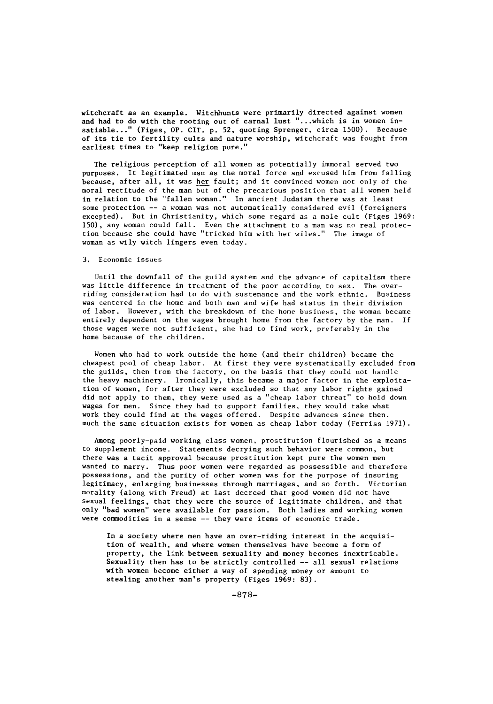witchcraft as an example. Witchhunts were primarily directed against women and had to do with the rooting out of carnal lust "...which is in women insatiable..." (Figes, OP. CIT. p. 52, quoting Sprenger, circa 1500). Because of its tie to fertility cults and nature worship, witchcraft was fought from earliest times to "keep religion pure."

The religious perception of all women as potentially immoral served two purposes. It legitimated man as the moral force and excused him from falling because, after all, it was her fault; and it convinced women not only of the moral rectitude of the man but of the precarious position that all women held in relation to the "fallen woman." In ancient Judaism there was at least some protection -- a woman was not automatically considered evil (foreigners excepted). But in Christianity, which some regard as a male cult (Figes 1969: 150), any woman could fall. Even the attachment to a man was no real protection because she could have "tricked him with her wiles." The image of woman as wily witch lingers even today.

## 3. Economic issues

Until the downfall of the guild system and the advance of capitalism there was little difference in treatment of the poor according to sex. The overriding consideration had to do with sustenance and the work ethnic. Business was centered in the home and both man and wife had status in their division of labor. However, with the breakdown of the home business, the woman became entirely dependent on the wages brought home from the factory by the man. If those wages were not sufficient, she had to find work, preferably in the home because of the children.

Women who had to work outside the home (and their children) became the cheapest pool of cheap labor. At first they were systematically excluded from the guilds, then from the factory, on the basis that they could not handle the heavy machinery. Ironically, this became a major factor in the exploitation of women, for after they were excluded so that any labor rights gained did not apply to them, they were used as a "cheap labor threat" to hold down wages for men. Since they had to support families, they would take what work they could find at the wages offered. Despite advances since then. much the same situation exists for women as cheap labor today (Ferriss 1971).

Among poorly-paid working class women, prostitution flourished as a means to supplement income. Statements decrying such behavior were common, but there was a tacit approval because prostitution kept pure the women men wanted to marry. Thus poor women were regarded as possessible and therefore possessions, and the purity of other women was for the purpose of insuring legitimacy, enlarging businesses through marriages, and so forth. Victorian morality (along with Freud) at last decreed that good women did not have sexual feelings, that they were the source of legitimate children, and that only "bad women" were available for passion. Both ladies and working women were commodities in a sense -- they were items of economic trade.

In a society where men have an over-riding interest in the acquisition of wealth, and where women themselves have become a form of property, the link between sexuality and money becomes inextricable. Sexuality then has to be strictly controlled -- all sexual relations with women become either a way of spending money or amount to stealing another man's property (Figes 1969: 83).

-878-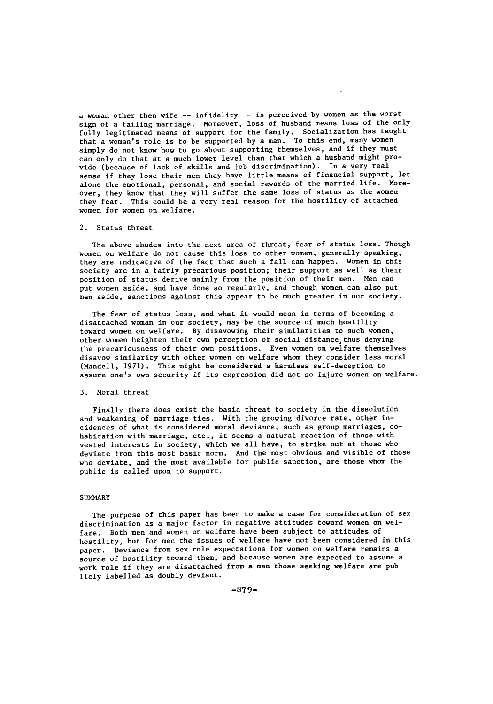a woman other then wife -- infidelity -- is perceived by women as the worst sign of a failing marriage. Moreover, loss of husband means loss of the only fully legitimated means of support for the family. Socialization has taught that a woman's role is to be supported by a man. To this end, many women simply do not know how to go about supporting themselves, and if they must can only do that at a much lower level than that which a husband might provide (because of lack of skills and job discrimination). In a very real sense if they lose their men they have little means of financial support, let alone the emotional, personal, and social rewards of the married life. Moreover, they know that they will suffer the same loss of status as the women they fear. This could be a very real reason for the hostility of attached women for women on welfare.

## 2. Status threat

The above shades into the next area of threat, fear of status loss. Though women on welfare do not cause this loss to other women, generally speaking, they are indicative of the fact that such a fall can happen. Women in this society are in a fairly precarious position; their support as well as their position of status derive mainly from the position of their men. Men can put women aside, and have done so regularly, and though women can also put men aside, sanctions against this appear to be much greater in our society.

The fear of status loss, and what it would mean in terms of becoming a disattached woman in our society, may be the source of much hostility toward women on welfare. By disavowing their similarities to such women, other women heighten their own perception of social distance thus denying the precariousness of their own positions. Even women on welfare themselves disavow similarity with other women on welfare whom they consider less moral (Mandell, 1971). This might be considered a harmless self-deception to assure one's own security if its expression did not so injure women on welfare.

## 3. Moral threat

Finally there does exist the basic threat to society in the dissolution and weakening of marriage ties. With the growing divorce rate, other incidences of what is considered moral deviance, such as group marriages, cohabitation with marriage, etc., it seems a natural reaction of those with vested interests in society, which we all have, to strike out at those who deviate from this most basic norm. And the most obvious and visible of those who deviate, and the most available for public sanction, are those whom the public is called upon to support.

## **SUMMARY**

The purpose of this paper has been to make a case for consideration of sex discrimination as a major factor in negative attitudes toward women on welfare. Both men and women on welfare have been subject to attitudes of hostility, but for men the issues of welfare have not been considered in this paper. Deviance from sex role expectations for women on welfare remains a source of hostility toward them, and because women are expected to assume a work role if they are disattached from a man those seeking welfare are publicly labelled as doubly deviant.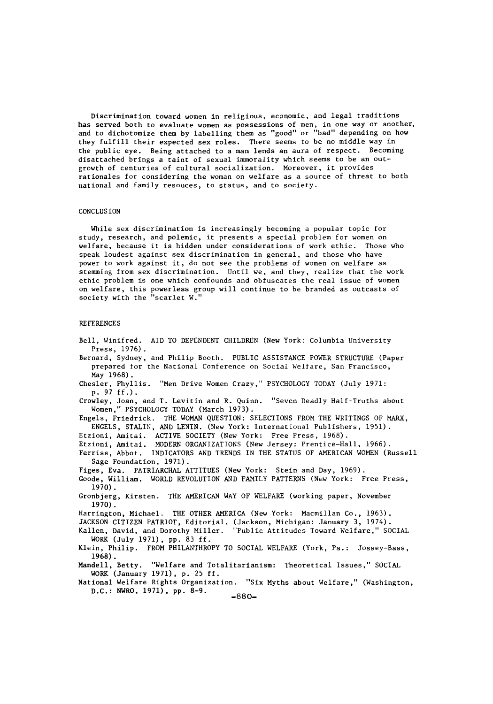Discrimination toward women in religious, economic, and legal traditions has served both to evaluate women as possessions of men, in one way or another, and to dichotomize them by labelling them as "good" or "bad" depending on how they fulfill their expected sex roles. There seems to be no middle way in the public eye. Being attached to a man lends an aura of respect. Becoming disattached brings a taint of sexual immorality which seems to be an outgrowth of centuries of cultural socialization. Moreover, it provides rationales for considering the woman on welfare as a source of threat to both national and family resouces, to status, and to society.

### CONCLUSION

While sex discrimination is increasingly becoming a popular topic for study, research, and polemic, it presents a special problem for women on welfare, because it is hidden under considerations of work ethic. Those who speak loudest against sex discrimination in general, and those who have power to work against it, do not see the problems of women on welfare as stemming from sex discrimination. Until we, and they, realize that the work ethic problem is one which confounds and obfuscates the real issue of women on welfare, this powerless group will continue to be branded as outcasts of society with the "scarlet W."

## **REFERENCES**

Bell, Winifred. AID TO DEPENDENT CHILDREN (New York: Columbia University Press, 1976). Bernard, Sydney, and Philip Booth. PUBLIC ASSISTANCE POWER STRUCTURE (Paper prepared for the National Conference on Social Welfare, San Francisco, May 1968). Chesler, Phyllis. "Men Drive Women Crazy," PSYCHOLOGY TODAY (July 1971: p. 97 ff.). Crowley, Joan, and T. Levitin and R. Quinn. "Seven Deadly Half-Truths about Women," PSYCHOLOGY TODAY (March 1973). Engels, Friedrick. THE WOMAN QUESTION: SELECTIONS FROM THE WRITINGS OF MARX, ENGELS, STALIN, AND LENIN. (New York: International Publishers, 1951). Etzioni, Amitai. ACTIVE SOCIETY (New York: Free Press, 1968). Etzioni, Amitai. MODERN ORGANIZATIONS (New Jersey: Prentice-Hall, 1966). Ferriss, Abbot. INDICATORS AND TRENDS IN THE STATUS OF AMERICAN WOMEN (Russell Sage Foundation, 1971). Figes, Eva. PATRIARCHAL ATTITUES (New York: Stein and Day, 1969). Goode, William. WORLD REVOLUTION AND FAMILY PATTERNS (New York: Free Press, 1970). Gronbjerg, Kirsten. THE AMERICAN WAY OF WELFARE (working paper, November 1970). Harrington, Michael. **THE** OTHER AMERICA (New York: Macmillan Co., 1963). JACKSON CITIZEN PATRIOT, Editorial. (Jackson, Michigan: January 3, 1974). Kallen, David, and Dorothy Miller. "Public Attitudes Toward Welfare," SOCIAL WORK (July 1971), pp. 83 **ff.** Klein, Philip. FROM PHILANTHROPY TO SOCIAL WELFARE (York, Pa.: Jossey-Bass, 1968). Mandell, Betty. "Welfare and Totalitarianism: Theoretical Issues," SOCIAL WORK (January 1971), p. 25 **ff.** National Welfare Rights Organization. "Six Myths about Welfare," (Washington, D.C.: NWRO, 1971), pp. 8-9.  $-880-$